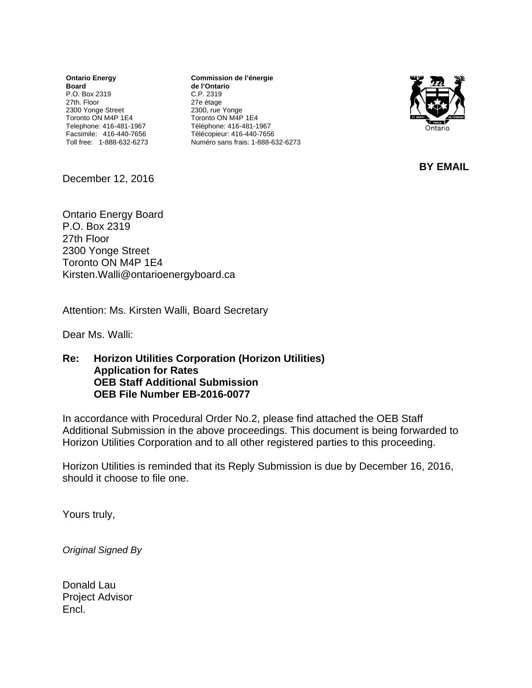**Ontario Energy Board**  P.O. Box 2319 27th. Floor 2300 Yonge Street Toronto ON M4P 1E4 Telephone: 416-481-1967 Facsimile: 416-440-7656 Toll free: 1-888-632-6273

**Commission de l'énergie de l'Ontario** C.P. 2319 27e étage 2300, rue Yonge Toronto ON M4P 1E4 Téléphone: 416-481-1967 Télécopieur: 416-440-7656 Numéro sans frais: 1-888-632-6273



**BY EMAIL** 

December 12, 2016

Ontario Energy Board P.O. Box 2319 27th Floor 2300 Yonge Street Toronto ON M4P 1E4 Kirsten.Walli@ontarioenergyboard.ca

Attention: Ms. Kirsten Walli, Board Secretary

Dear Ms. Walli:

#### **Re: Horizon Utilities Corporation (Horizon Utilities) Application for Rates OEB Staff Additional Submission OEB File Number EB-2016-0077**

In accordance with Procedural Order No.2, please find attached the OEB Staff Additional Submission in the above proceedings. This document is being forwarded to Horizon Utilities Corporation and to all other registered parties to this proceeding.

Horizon Utilities is reminded that its Reply Submission is due by December 16, 2016, should it choose to file one.

Yours truly,

*Original Signed By* 

Donald Lau Project Advisor Encl.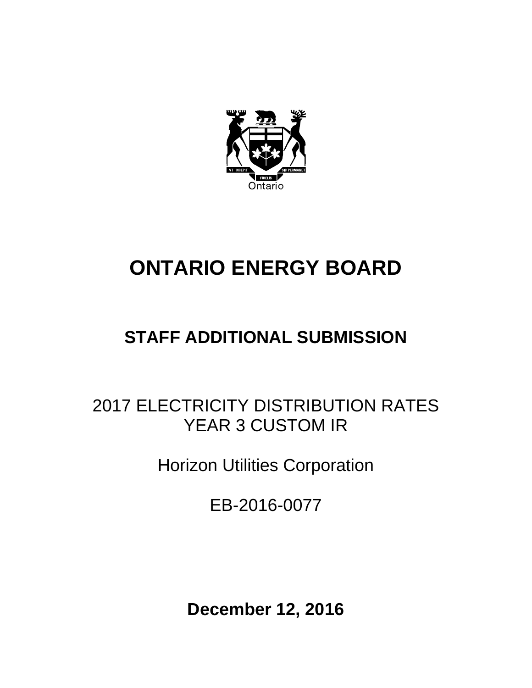

# **ONTARIO ENERGY BOARD**

## **STAFF ADDITIONAL SUBMISSION**

### 2017 ELECTRICITY DISTRIBUTION RATES YEAR 3 CUSTOM IR

Horizon Utilities Corporation

EB-2016-0077

**December 12, 2016**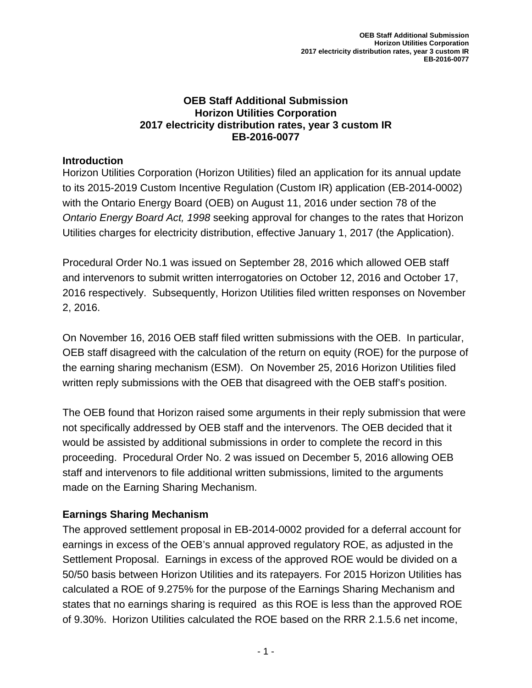### **OEB Staff Additional Submission Horizon Utilities Corporation 2017 electricity distribution rates, year 3 custom IR EB-2016-0077**

### **Introduction**

Horizon Utilities Corporation (Horizon Utilities) filed an application for its annual update to its 2015-2019 Custom Incentive Regulation (Custom IR) application (EB-2014-0002) with the Ontario Energy Board (OEB) on August 11, 2016 under section 78 of the *Ontario Energy Board Act, 1998* seeking approval for changes to the rates that Horizon Utilities charges for electricity distribution, effective January 1, 2017 (the Application).

Procedural Order No.1 was issued on September 28, 2016 which allowed OEB staff and intervenors to submit written interrogatories on October 12, 2016 and October 17, 2016 respectively. Subsequently, Horizon Utilities filed written responses on November 2, 2016.

On November 16, 2016 OEB staff filed written submissions with the OEB. In particular, OEB staff disagreed with the calculation of the return on equity (ROE) for the purpose of the earning sharing mechanism (ESM). On November 25, 2016 Horizon Utilities filed written reply submissions with the OEB that disagreed with the OEB staff's position.

The OEB found that Horizon raised some arguments in their reply submission that were not specifically addressed by OEB staff and the intervenors. The OEB decided that it would be assisted by additional submissions in order to complete the record in this proceeding. Procedural Order No. 2 was issued on December 5, 2016 allowing OEB staff and intervenors to file additional written submissions, limited to the arguments made on the Earning Sharing Mechanism.

### **Earnings Sharing Mechanism**

The approved settlement proposal in EB-2014-0002 provided for a deferral account for earnings in excess of the OEB's annual approved regulatory ROE, as adjusted in the Settlement Proposal. Earnings in excess of the approved ROE would be divided on a 50/50 basis between Horizon Utilities and its ratepayers. For 2015 Horizon Utilities has calculated a ROE of 9.275% for the purpose of the Earnings Sharing Mechanism and states that no earnings sharing is required as this ROE is less than the approved ROE of 9.30%. Horizon Utilities calculated the ROE based on the RRR 2.1.5.6 net income,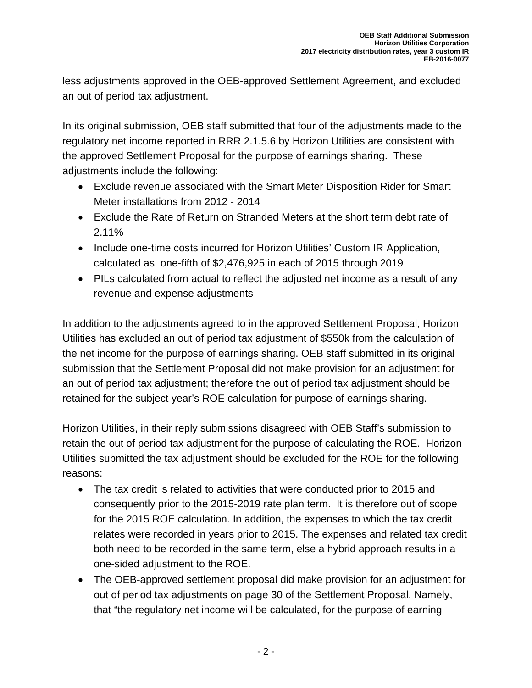less adjustments approved in the OEB-approved Settlement Agreement, and excluded an out of period tax adjustment.

In its original submission, OEB staff submitted that four of the adjustments made to the regulatory net income reported in RRR 2.1.5.6 by Horizon Utilities are consistent with the approved Settlement Proposal for the purpose of earnings sharing. These adjustments include the following:

- Exclude revenue associated with the Smart Meter Disposition Rider for Smart Meter installations from 2012 - 2014
- Exclude the Rate of Return on Stranded Meters at the short term debt rate of 2.11%
- Include one-time costs incurred for Horizon Utilities' Custom IR Application, calculated as one-fifth of \$2,476,925 in each of 2015 through 2019
- PILs calculated from actual to reflect the adjusted net income as a result of any revenue and expense adjustments

In addition to the adjustments agreed to in the approved Settlement Proposal, Horizon Utilities has excluded an out of period tax adjustment of \$550k from the calculation of the net income for the purpose of earnings sharing. OEB staff submitted in its original submission that the Settlement Proposal did not make provision for an adjustment for an out of period tax adjustment; therefore the out of period tax adjustment should be retained for the subject year's ROE calculation for purpose of earnings sharing.

Horizon Utilities, in their reply submissions disagreed with OEB Staff's submission to retain the out of period tax adjustment for the purpose of calculating the ROE. Horizon Utilities submitted the tax adjustment should be excluded for the ROE for the following reasons:

- The tax credit is related to activities that were conducted prior to 2015 and consequently prior to the 2015-2019 rate plan term. It is therefore out of scope for the 2015 ROE calculation. In addition, the expenses to which the tax credit relates were recorded in years prior to 2015. The expenses and related tax credit both need to be recorded in the same term, else a hybrid approach results in a one-sided adjustment to the ROE.
- The OEB-approved settlement proposal did make provision for an adjustment for out of period tax adjustments on page 30 of the Settlement Proposal. Namely, that "the regulatory net income will be calculated, for the purpose of earning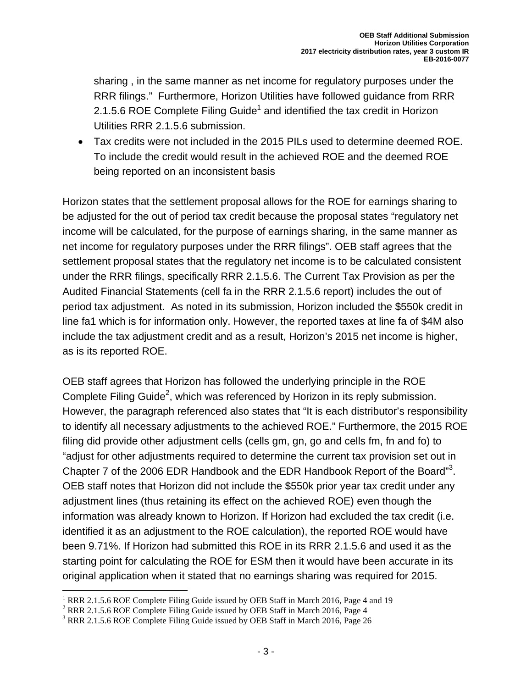sharing , in the same manner as net income for regulatory purposes under the RRR filings." Furthermore, Horizon Utilities have followed guidance from RRR 2.1.5.6 ROE Complete Filing Guide<sup>1</sup> and identified the tax credit in Horizon Utilities RRR 2.1.5.6 submission.

 Tax credits were not included in the 2015 PILs used to determine deemed ROE. To include the credit would result in the achieved ROE and the deemed ROE being reported on an inconsistent basis

Horizon states that the settlement proposal allows for the ROE for earnings sharing to be adjusted for the out of period tax credit because the proposal states "regulatory net income will be calculated, for the purpose of earnings sharing, in the same manner as net income for regulatory purposes under the RRR filings". OEB staff agrees that the settlement proposal states that the regulatory net income is to be calculated consistent under the RRR filings, specifically RRR 2.1.5.6. The Current Tax Provision as per the Audited Financial Statements (cell fa in the RRR 2.1.5.6 report) includes the out of period tax adjustment. As noted in its submission, Horizon included the \$550k credit in line fa1 which is for information only. However, the reported taxes at line fa of \$4M also include the tax adjustment credit and as a result, Horizon's 2015 net income is higher, as is its reported ROE.

OEB staff agrees that Horizon has followed the underlying principle in the ROE Complete Filing Guide<sup>2</sup>, which was referenced by Horizon in its reply submission. However, the paragraph referenced also states that "It is each distributor's responsibility to identify all necessary adjustments to the achieved ROE." Furthermore, the 2015 ROE filing did provide other adjustment cells (cells gm, gn, go and cells fm, fn and fo) to "adjust for other adjustments required to determine the current tax provision set out in Chapter 7 of the 2006 EDR Handbook and the EDR Handbook Report of the Board" $3$ . OEB staff notes that Horizon did not include the \$550k prior year tax credit under any adjustment lines (thus retaining its effect on the achieved ROE) even though the information was already known to Horizon. If Horizon had excluded the tax credit (i.e. identified it as an adjustment to the ROE calculation), the reported ROE would have been 9.71%. If Horizon had submitted this ROE in its RRR 2.1.5.6 and used it as the starting point for calculating the ROE for ESM then it would have been accurate in its original application when it stated that no earnings sharing was required for 2015.

<sup>&</sup>lt;sup>1</sup> RRR 2.1.5.6 ROE Complete Filing Guide issued by OEB Staff in March 2016, Page 4 and 19

 $2$  RRR 2.1.5.6 ROE Complete Filing Guide issued by OEB Staff in March 2016, Page 4

<sup>&</sup>lt;sup>3</sup> RRR 2.1.5.6 ROE Complete Filing Guide issued by OEB Staff in March 2016, Page 26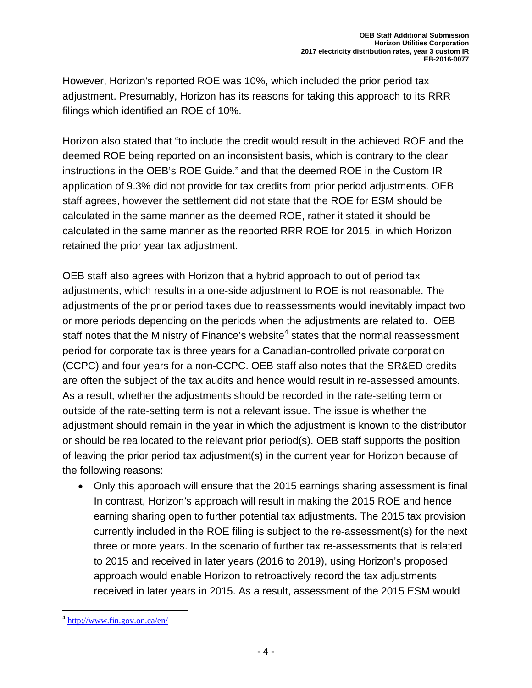However, Horizon's reported ROE was 10%, which included the prior period tax adjustment. Presumably, Horizon has its reasons for taking this approach to its RRR filings which identified an ROE of 10%.

Horizon also stated that "to include the credit would result in the achieved ROE and the deemed ROE being reported on an inconsistent basis, which is contrary to the clear instructions in the OEB's ROE Guide." and that the deemed ROE in the Custom IR application of 9.3% did not provide for tax credits from prior period adjustments. OEB staff agrees, however the settlement did not state that the ROE for ESM should be calculated in the same manner as the deemed ROE, rather it stated it should be calculated in the same manner as the reported RRR ROE for 2015, in which Horizon retained the prior year tax adjustment.

OEB staff also agrees with Horizon that a hybrid approach to out of period tax adjustments, which results in a one-side adjustment to ROE is not reasonable. The adjustments of the prior period taxes due to reassessments would inevitably impact two or more periods depending on the periods when the adjustments are related to. OEB staff notes that the Ministry of Finance's website<sup>4</sup> states that the normal reassessment period for corporate tax is three years for a Canadian-controlled private corporation (CCPC) and four years for a non-CCPC. OEB staff also notes that the SR&ED credits are often the subject of the tax audits and hence would result in re-assessed amounts. As a result, whether the adjustments should be recorded in the rate-setting term or outside of the rate-setting term is not a relevant issue. The issue is whether the adjustment should remain in the year in which the adjustment is known to the distributor or should be reallocated to the relevant prior period(s). OEB staff supports the position of leaving the prior period tax adjustment(s) in the current year for Horizon because of the following reasons:

 Only this approach will ensure that the 2015 earnings sharing assessment is final In contrast, Horizon's approach will result in making the 2015 ROE and hence earning sharing open to further potential tax adjustments. The 2015 tax provision currently included in the ROE filing is subject to the re-assessment(s) for the next three or more years. In the scenario of further tax re-assessments that is related to 2015 and received in later years (2016 to 2019), using Horizon's proposed approach would enable Horizon to retroactively record the tax adjustments received in later years in 2015. As a result, assessment of the 2015 ESM would

 $^4$  http://www.fin.gov.on.ca/en/